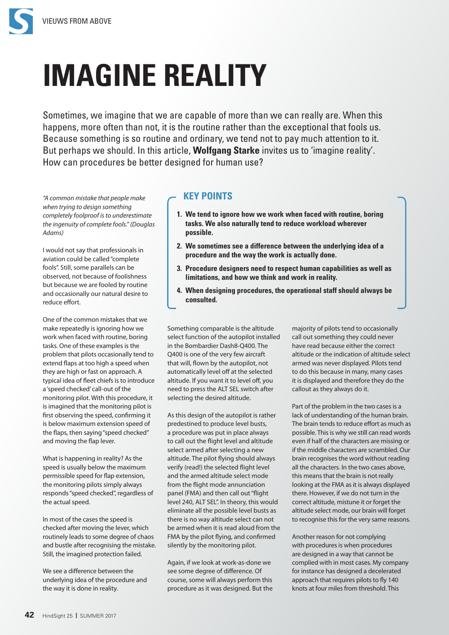

## **IMAGINE REALITY**

Sometimes, we imagine that we are capable of more than we can really are. When this happens, more often than not, it is the routine rather than the exceptional that fools us. Because something is so routine and ordinary, we tend not to pay much attention to it. But perhaps we should. In this article, **Wolfgang Starke** invites us to 'imagine reality'. How can procedures be better designed for human use?

*"A common mistake that people make when trying to design something completely foolproof is to underestimate the ingenuity of complete fools." (Douglas Adams)*

I would not say that professionals in aviation could be called "complete fools". Still, some parallels can be observed, not because of foolishness but because we are fooled by routine and occasionally our natural desire to reduce effort.

One of the common mistakes that we make repeatedly is ignoring how we work when faced with routine, boring tasks. One of these examples is the problem that pilots occasionally tend to extend flaps at too high a speed when they are high or fast on approach. A typical idea of fleet chiefs is to introduce a 'speed checked' call-out of the monitoring pilot. With this procedure, it is imagined that the monitoring pilot is first observing the speed, confirming it is below maximum extension speed of the flaps, then saying "speed checked" and moving the flap lever.

What is happening in reality? As the speed is usually below the maximum permissible speed for flap extension, the monitoring pilots simply always responds "speed checked", regardless of the actual speed.

In most of the cases the speed is checked after moving the lever, which routinely leads to some degree of chaos and bustle after recognising the mistake. Still, the imagined protection failed.

We see a difference between the underlying idea of the procedure and the way it is done in reality.

## **KEY POINTS**

- **1. We tend to ignore how we work when faced with routine, boring tasks. We also naturally tend to reduce workload wherever possible.**
- **2. We sometimes see a difference between the underlying idea of a procedure and the way the work is actually done.**
- **3. Procedure designers need to respect human capabilities as well as limitations, and how we think and work in reality.**
- **4. When designing procedures, the operational staff should always be consulted.**

Something comparable is the altitude select function of the autopilot installed in the Bombardier Dash8-Q400. The Q400 is one of the very few aircraft that will, flown by the autopilot, not automatically level off at the selected altitude. If you want it to level off, you need to press the ALT SEL switch after selecting the desired altitude.

As this design of the autopilot is rather predestined to produce level busts, a procedure was put in place always to call out the flight level and altitude select armed after selecting a new altitude. The pilot flying should always verify (read!) the selected flight level and the armed altitude select mode from the flight mode annunciation panel (FMA) and then call out "flight level 240, ALT SEL". In theory, this would eliminate all the possible level busts as there is no way altitude select can not be armed when it is read aloud from the FMA by the pilot flying, and confirmed silently by the monitoring pilot.

Again, if we look at work-as-done we see some degree of difference. Of course, some will always perform this procedure as it was designed. But the majority of pilots tend to occasionally call out something they could never have read because either the correct altitude or the indication of altitude select armed was never displayed. Pilots tend to do this because in many, many cases it is displayed and therefore they do the callout as they always do it.

Part of the problem in the two cases is a lack of understanding of the human brain. The brain tends to reduce effort as much as possible. This is why we still can read words even if half of the characters are missing or if the middle characters are scrambled. Our brain recognises the word without reading all the characters. In the two cases above, this means that the brain is not really looking at the FMA as it is always displayed there. However, if we do not turn in the correct altitude, mistune it or forget the altitude select mode, our brain will forget to recognise this for the very same reasons.

Another reason for not complying with procedures is when procedures are designed in a way that cannot be complied with in most cases. My company for instance has designed a decelerated approach that requires pilots to fly 140 knots at four miles from threshold. This